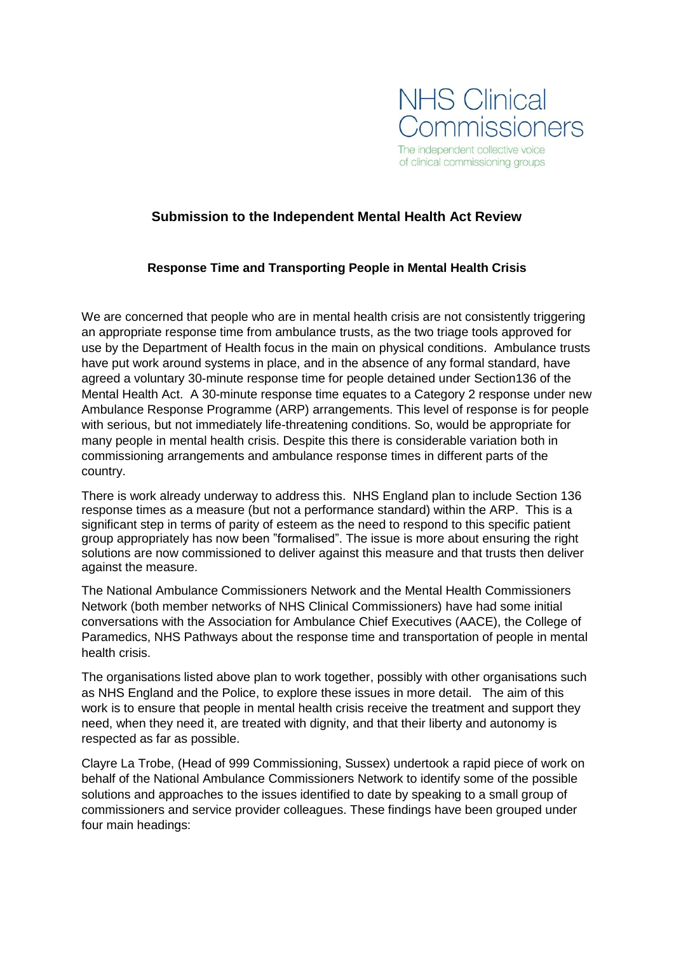

# **Submission to the Independent Mental Health Act Review**

### **Response Time and Transporting People in Mental Health Crisis**

We are concerned that people who are in mental health crisis are not consistently triggering an appropriate response time from ambulance trusts, as the two triage tools approved for use by the Department of Health focus in the main on physical conditions. Ambulance trusts have put work around systems in place, and in the absence of any formal standard, have agreed a voluntary 30-minute response time for people detained under Section136 of the Mental Health Act. A 30-minute response time equates to a Category 2 response under new Ambulance Response Programme (ARP) arrangements. This level of response is for people with serious, but not immediately life-threatening conditions. So, would be appropriate for many people in mental health crisis. Despite this there is considerable variation both in commissioning arrangements and ambulance response times in different parts of the country.

There is work already underway to address this. NHS England plan to include Section 136 response times as a measure (but not a performance standard) within the ARP. This is a significant step in terms of parity of esteem as the need to respond to this specific patient group appropriately has now been "formalised". The issue is more about ensuring the right solutions are now commissioned to deliver against this measure and that trusts then deliver against the measure.

The National Ambulance Commissioners Network and the Mental Health Commissioners Network (both member networks of NHS Clinical Commissioners) have had some initial conversations with the Association for Ambulance Chief Executives (AACE), the College of Paramedics, NHS Pathways about the response time and transportation of people in mental health crisis.

The organisations listed above plan to work together, possibly with other organisations such as NHS England and the Police, to explore these issues in more detail. The aim of this work is to ensure that people in mental health crisis receive the treatment and support they need, when they need it, are treated with dignity, and that their liberty and autonomy is respected as far as possible.

Clayre La Trobe, (Head of 999 Commissioning, Sussex) undertook a rapid piece of work on behalf of the National Ambulance Commissioners Network to identify some of the possible solutions and approaches to the issues identified to date by speaking to a small group of commissioners and service provider colleagues. These findings have been grouped under four main headings: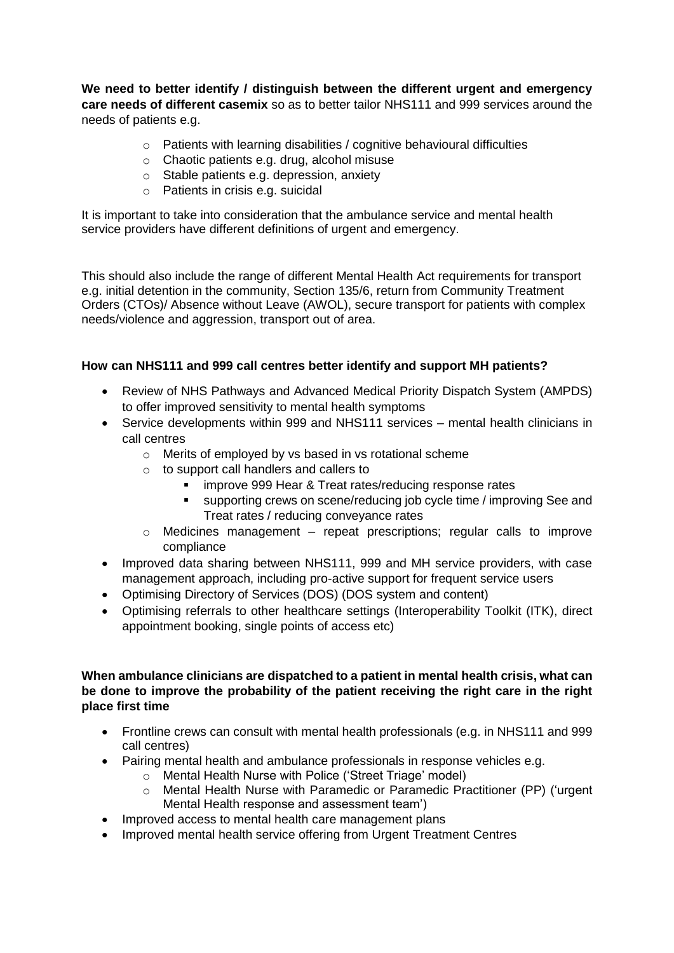**We need to better identify / distinguish between the different urgent and emergency care needs of different casemix** so as to better tailor NHS111 and 999 services around the needs of patients e.g.

- o Patients with learning disabilities / cognitive behavioural difficulties
- o Chaotic patients e.g. drug, alcohol misuse
- o Stable patients e.g. depression, anxiety
- o Patients in crisis e.g. suicidal

It is important to take into consideration that the ambulance service and mental health service providers have different definitions of urgent and emergency.

This should also include the range of different Mental Health Act requirements for transport e.g. initial detention in the community, Section 135/6, return from Community Treatment Orders (CTOs)/ Absence without Leave (AWOL), secure transport for patients with complex needs/violence and aggression, transport out of area.

### **How can NHS111 and 999 call centres better identify and support MH patients?**

- Review of NHS Pathways and Advanced Medical Priority Dispatch System (AMPDS) to offer improved sensitivity to mental health symptoms
- Service developments within 999 and NHS111 services mental health clinicians in call centres
	- o Merits of employed by vs based in vs rotational scheme
	- o to support call handlers and callers to
		- **EXED FEAT IS NOTE 1999 Hear & Treat rates/reducing response rates**
		- supporting crews on scene/reducing job cycle time / improving See and Treat rates / reducing conveyance rates
	- $\circ$  Medicines management repeat prescriptions; regular calls to improve compliance
- Improved data sharing between NHS111, 999 and MH service providers, with case management approach, including pro-active support for frequent service users
- Optimising Directory of Services (DOS) (DOS system and content)
- Optimising referrals to other healthcare settings (Interoperability Toolkit (ITK), direct appointment booking, single points of access etc)

#### **When ambulance clinicians are dispatched to a patient in mental health crisis, what can be done to improve the probability of the patient receiving the right care in the right place first time**

- Frontline crews can consult with mental health professionals (e.g. in NHS111 and 999 call centres)
- Pairing mental health and ambulance professionals in response vehicles e.g.
	- o Mental Health Nurse with Police ('Street Triage' model)
	- o Mental Health Nurse with Paramedic or Paramedic Practitioner (PP) ('urgent Mental Health response and assessment team')
- Improved access to mental health care management plans
- Improved mental health service offering from Urgent Treatment Centres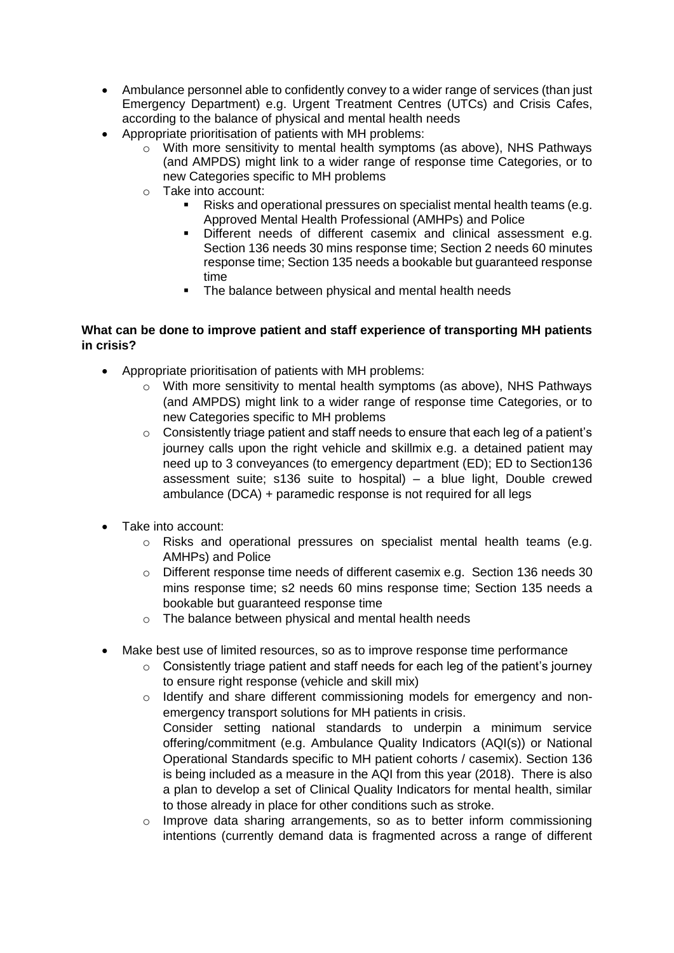- Ambulance personnel able to confidently convey to a wider range of services (than just Emergency Department) e.g. Urgent Treatment Centres (UTCs) and Crisis Cafes, according to the balance of physical and mental health needs
- Appropriate prioritisation of patients with MH problems:
	- o With more sensitivity to mental health symptoms (as above), NHS Pathways (and AMPDS) might link to a wider range of response time Categories, or to new Categories specific to MH problems
	- o Take into account:
		- Risks and operational pressures on specialist mental health teams (e.g. Approved Mental Health Professional (AMHPs) and Police
		- Different needs of different casemix and clinical assessment e.g. Section 136 needs 30 mins response time; Section 2 needs 60 minutes response time; Section 135 needs a bookable but guaranteed response time
		- **•** The balance between physical and mental health needs

## **What can be done to improve patient and staff experience of transporting MH patients in crisis?**

- Appropriate prioritisation of patients with MH problems:
	- o With more sensitivity to mental health symptoms (as above), NHS Pathways (and AMPDS) might link to a wider range of response time Categories, or to new Categories specific to MH problems
	- $\circ$  Consistently triage patient and staff needs to ensure that each leg of a patient's journey calls upon the right vehicle and skillmix e.g. a detained patient may need up to 3 conveyances (to emergency department (ED); ED to Section136 assessment suite; s136 suite to hospital) – a blue light, Double crewed ambulance (DCA) + paramedic response is not required for all legs
- Take into account:
	- $\circ$  Risks and operational pressures on specialist mental health teams (e.g. AMHPs) and Police
	- o Different response time needs of different casemix e.g. Section 136 needs 30 mins response time; s2 needs 60 mins response time; Section 135 needs a bookable but guaranteed response time
	- o The balance between physical and mental health needs
- Make best use of limited resources, so as to improve response time performance
	- $\circ$  Consistently triage patient and staff needs for each leg of the patient's journey to ensure right response (vehicle and skill mix)
	- o Identify and share different commissioning models for emergency and nonemergency transport solutions for MH patients in crisis. Consider setting national standards to underpin a minimum service offering/commitment (e.g. Ambulance Quality Indicators (AQI(s)) or National Operational Standards specific to MH patient cohorts / casemix). Section 136 is being included as a measure in the AQI from this year (2018). There is also a plan to develop a set of Clinical Quality Indicators for mental health, similar to those already in place for other conditions such as stroke.
	- o Improve data sharing arrangements, so as to better inform commissioning intentions (currently demand data is fragmented across a range of different